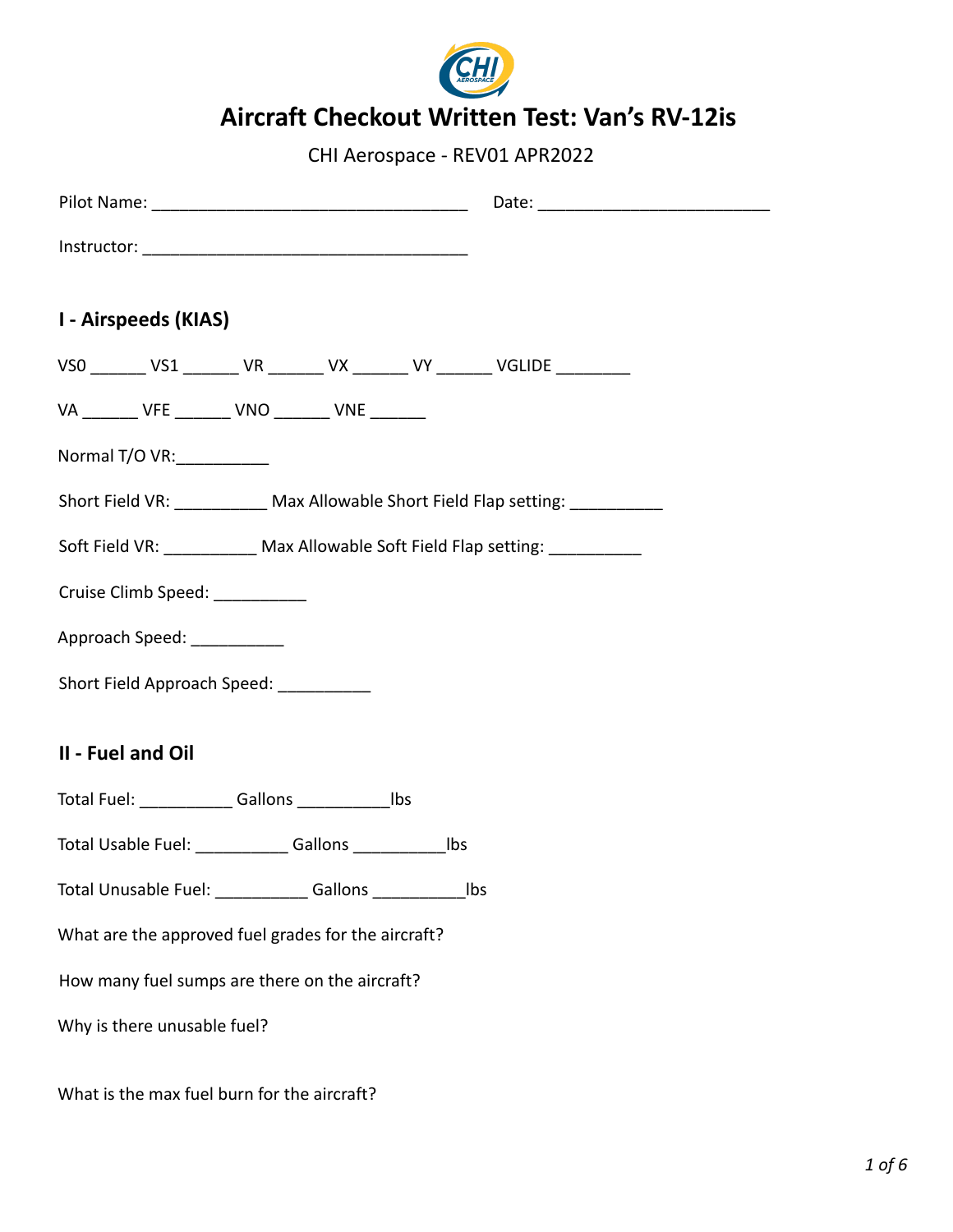

# **Aircraft Checkout Written Test: Van's RV-12is**

CHI Aerospace - REV01 APR2022

| I - Airspeeds (KIAS)                                                             |  |
|----------------------------------------------------------------------------------|--|
| VS0 _______ VS1 _______ VR _______ VX _______ VY _______ VGLIDE _________        |  |
| VA _______ VFE _______ VNO _______ VNE _______                                   |  |
| Normal T/O VR:                                                                   |  |
| Short Field VR: ____________ Max Allowable Short Field Flap setting: ___________ |  |
| Soft Field VR: Max Allowable Soft Field Flap setting:                            |  |
| Cruise Climb Speed: __________                                                   |  |
| Approach Speed: ___________                                                      |  |
| Short Field Approach Speed: __________                                           |  |
|                                                                                  |  |
| II - Fuel and Oil                                                                |  |
| Total Fuel: ______________Gallons _________________lbs                           |  |
| Total Usable Fuel: ______________ Gallons _________________ lbs                  |  |
| Total Unusable Fuel: ______________Gallons ______________<br>Ibs                 |  |
| What are the approved fuel grades for the aircraft?                              |  |
| How many fuel sumps are there on the aircraft?                                   |  |
| Why is there unusable fuel?                                                      |  |
| What is the max fuel burn for the aircraft?                                      |  |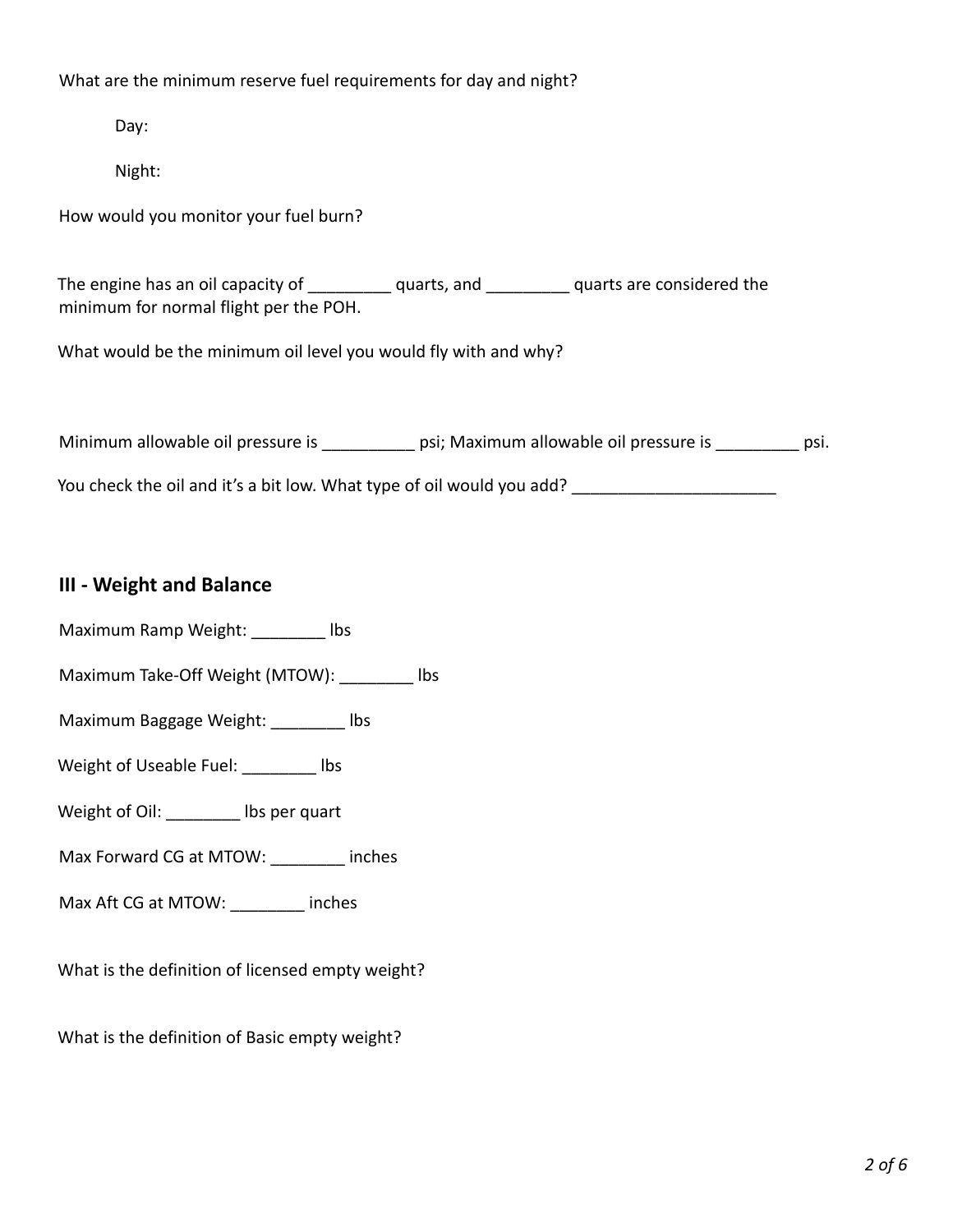What are the minimum reserve fuel requirements for day and night?

Day:

Night:

How would you monitor your fuel burn?

The engine has an oil capacity of \_\_\_\_\_\_\_\_\_\_ quarts, and \_\_\_\_\_\_\_\_\_\_ quarts are considered the minimum for normal flight per the POH.

What would be the minimum oil level you would fly with and why?

Minimum allowable oil pressure is \_\_\_\_\_\_\_\_\_\_\_\_ psi; Maximum allowable oil pressure is \_\_\_\_\_\_\_\_\_\_ psi.

You check the oil and it's a bit low. What type of oil would you add? \_\_\_\_\_\_\_\_\_\_\_\_\_\_\_\_\_\_\_\_\_\_

# **III - Weight and Balance**

Maximum Ramp Weight: lbs

Maximum Take-Off Weight (MTOW): \_\_\_\_\_\_\_\_ lbs

Maximum Baggage Weight: \_\_\_\_\_\_\_\_ lbs

Weight of Useable Fuel: \_\_\_\_\_\_\_\_ lbs

Weight of Oil: \_\_\_\_\_\_\_\_ lbs per quart

Max Forward CG at MTOW: \_\_\_\_\_\_\_\_ inches

Max Aft CG at MTOW: \_\_\_\_\_\_\_\_ inches

What is the definition of licensed empty weight?

What is the definition of Basic empty weight?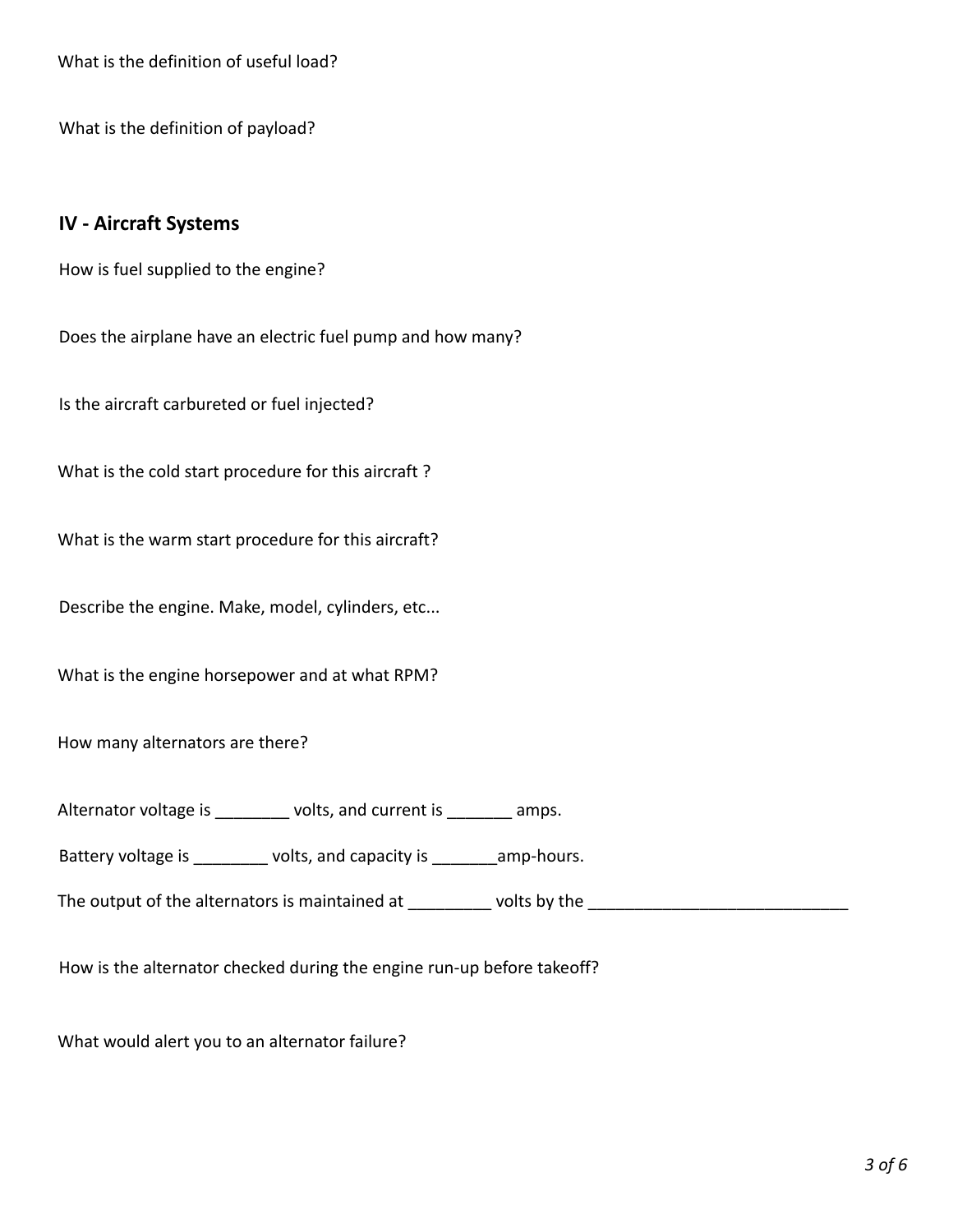What is the definition of useful load?

What is the definition of payload?

#### **IV - Aircraft Systems**

How is fuel supplied to the engine?

Does the airplane have an electric fuel pump and how many?

Is the aircraft carbureted or fuel injected?

What is the cold start procedure for this aircraft ?

What is the warm start procedure for this aircraft?

Describe the engine. Make, model, cylinders, etc...

What is the engine horsepower and at what RPM?

How many alternators are there?

Alternator voltage is \_\_\_\_\_\_\_\_ volts, and current is \_\_\_\_\_\_ amps.

Battery voltage is \_\_\_\_\_\_\_\_ volts, and capacity is \_\_\_\_\_\_\_ amp-hours.

The output of the alternators is maintained at \_\_\_\_\_\_\_\_\_ volts by the \_\_\_\_\_\_\_\_\_\_\_\_\_\_\_\_\_\_\_\_\_\_\_\_\_\_\_\_

How is the alternator checked during the engine run-up before takeoff?

What would alert you to an alternator failure?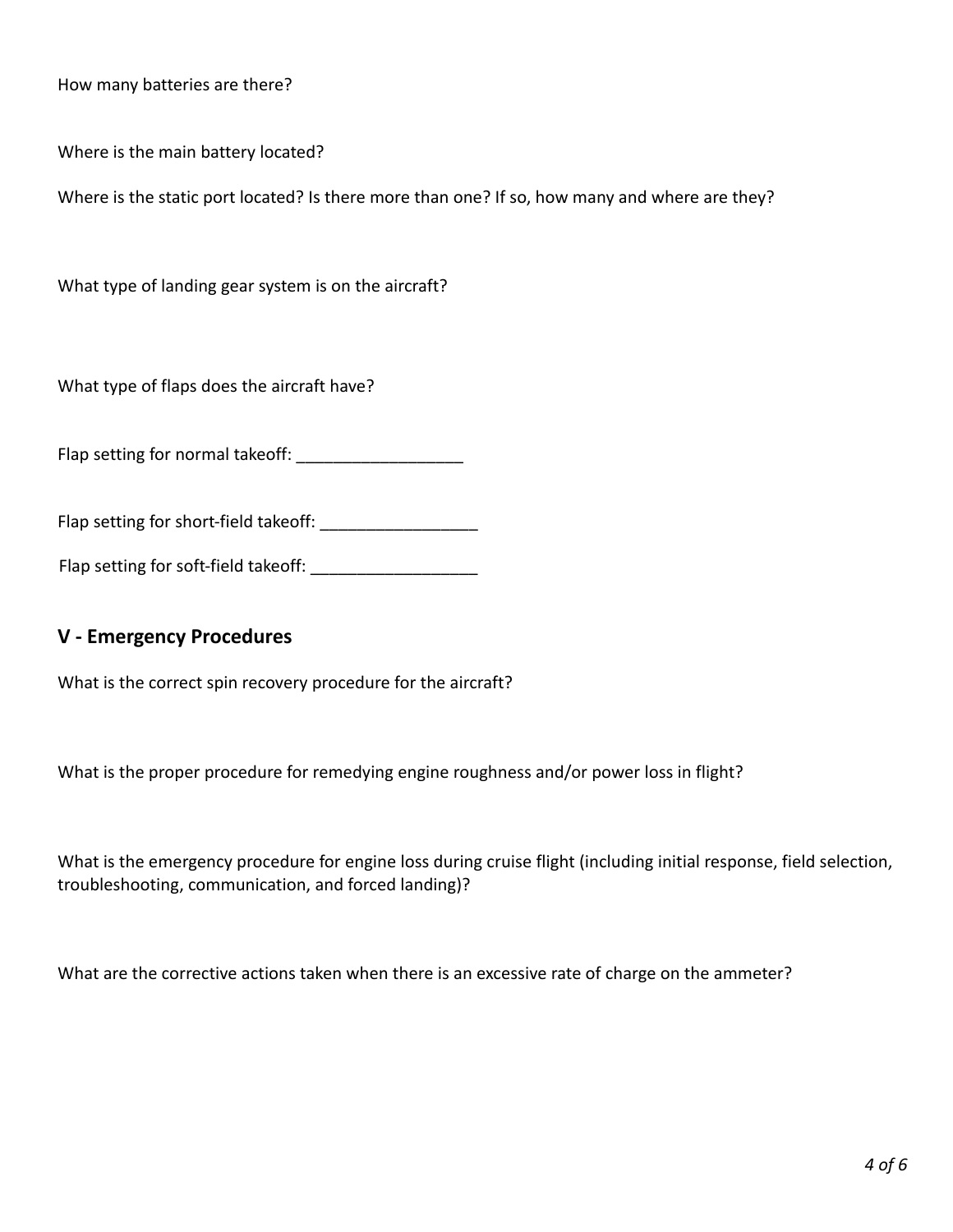How many batteries are there?

Where is the main battery located?

Where is the static port located? Is there more than one? If so, how many and where are they?

What type of landing gear system is on the aircraft?

What type of flaps does the aircraft have?

Flap setting for normal takeoff:

Flap setting for short-field takeoff:

Flap setting for soft-field takeoff: \_\_\_\_\_\_\_\_\_\_\_\_\_\_\_\_\_\_

### **V - Emergency Procedures**

What is the correct spin recovery procedure for the aircraft?

What is the proper procedure for remedying engine roughness and/or power loss in flight?

What is the emergency procedure for engine loss during cruise flight (including initial response, field selection, troubleshooting, communication, and forced landing)?

What are the corrective actions taken when there is an excessive rate of charge on the ammeter?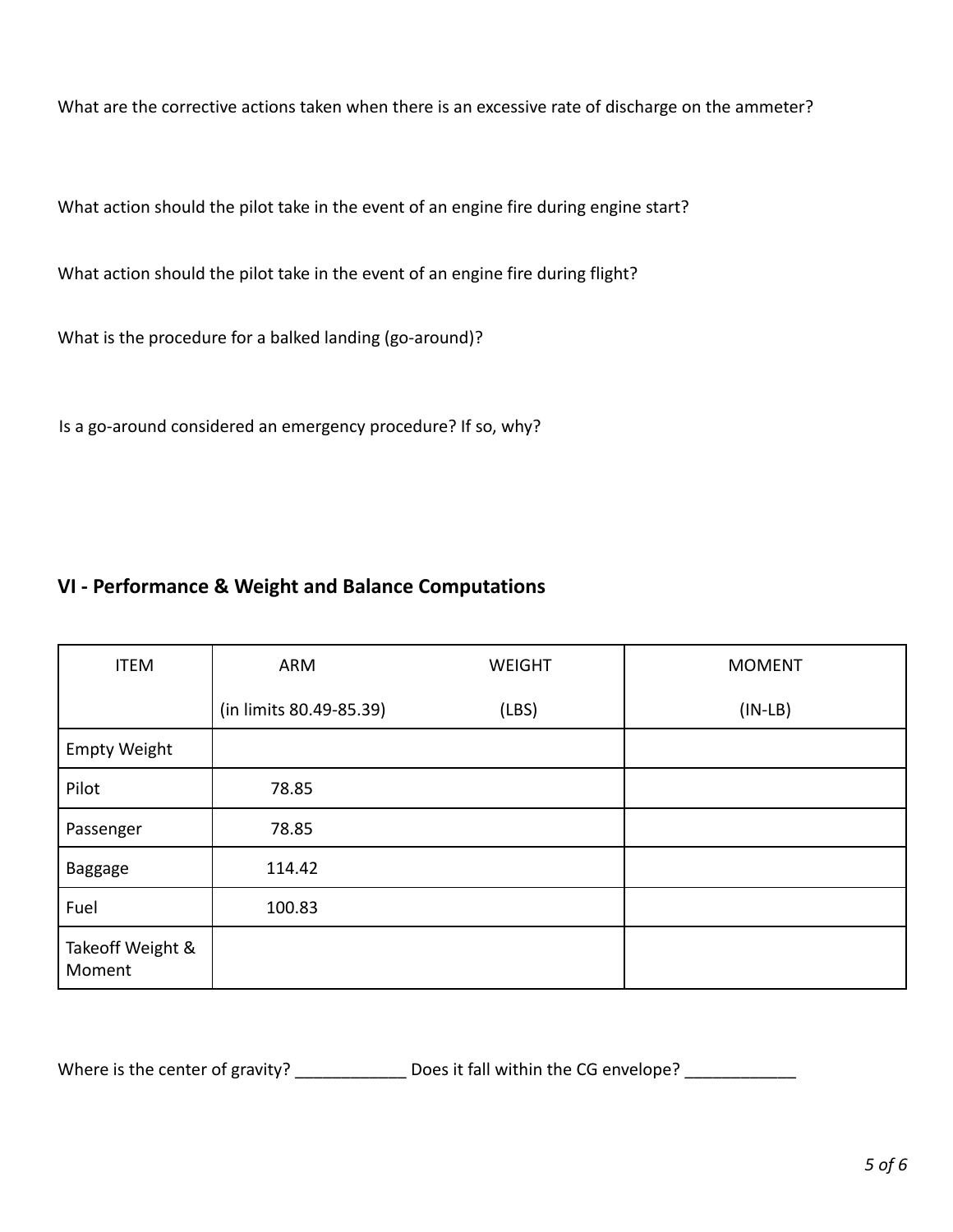What are the corrective actions taken when there is an excessive rate of discharge on the ammeter?

What action should the pilot take in the event of an engine fire during engine start?

What action should the pilot take in the event of an engine fire during flight?

What is the procedure for a balked landing (go-around)?

Is a go-around considered an emergency procedure? If so, why?

# **VI - Performance & Weight and Balance Computations**

| <b>ITEM</b>                | ARM                     | <b>WEIGHT</b> | <b>MOMENT</b> |
|----------------------------|-------------------------|---------------|---------------|
|                            | (in limits 80.49-85.39) | (LBS)         | $(IN-LB)$     |
| <b>Empty Weight</b>        |                         |               |               |
| Pilot                      | 78.85                   |               |               |
| Passenger                  | 78.85                   |               |               |
| Baggage                    | 114.42                  |               |               |
| Fuel                       | 100.83                  |               |               |
| Takeoff Weight &<br>Moment |                         |               |               |

Where is the center of gravity? \_\_\_\_\_\_\_\_\_\_\_\_\_\_ Does it fall within the CG envelope? \_\_\_\_\_\_\_\_\_\_\_\_\_\_\_